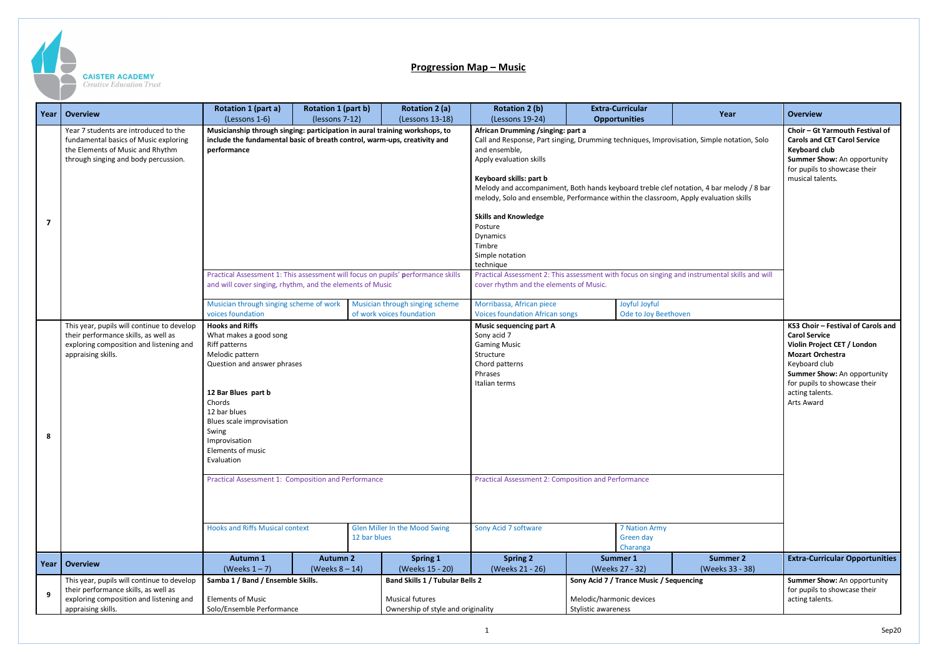

## **Progression Map – Music**

|   | Year   Overview                                                                                                                                            | Rotation 1 (part a)<br>(Lessons 1-6)                                                                                                                                                                                                                           | <b>Rotation 1 (part b)</b><br>(lessons 7-12) | <b>Rotation 2 (a)</b><br>(Lessons 13-18)                                                                            | <b>Rotation 2 (b)</b><br>(Lessons 19-24)                                                                                                                                                                                                                                                                                                                                                                                                                                                   | <b>Extra-Curricular</b><br><b>Opportunities</b>                                                                                                                                   | Year                               | <b>Overview</b>                                                                                                                                                                                                                       |
|---|------------------------------------------------------------------------------------------------------------------------------------------------------------|----------------------------------------------------------------------------------------------------------------------------------------------------------------------------------------------------------------------------------------------------------------|----------------------------------------------|---------------------------------------------------------------------------------------------------------------------|--------------------------------------------------------------------------------------------------------------------------------------------------------------------------------------------------------------------------------------------------------------------------------------------------------------------------------------------------------------------------------------------------------------------------------------------------------------------------------------------|-----------------------------------------------------------------------------------------------------------------------------------------------------------------------------------|------------------------------------|---------------------------------------------------------------------------------------------------------------------------------------------------------------------------------------------------------------------------------------|
|   | Year 7 students are introduced to the<br>fundamental basics of Music exploring<br>the Elements of Music and Rhythm<br>through singing and body percussion. | Musicianship through singing: participation in aural training workshops, to<br>include the fundamental basic of breath control, warm-ups, creativity and<br>performance                                                                                        |                                              |                                                                                                                     | African Drumming /singing: part a<br>Call and Response, Part singing, Drumming techniques, Improvisation, Simple notation, Solo<br>and ensemble,<br>Apply evaluation skills<br>Keyboard skills: part b<br>Melody and accompaniment, Both hands keyboard treble clef notation, 4 bar melody / 8 bar<br>melody, Solo and ensemble, Performance within the classroom, Apply evaluation skills<br><b>Skills and Knowledge</b><br>Posture<br>Dynamics<br>Timbre<br>Simple notation<br>technique | Choir - Gt Yarmouth Festival of<br><b>Carols and CET Carol Service</b><br><b>Keyboard club</b><br>Summer Show: An opportunity<br>for pupils to showcase their<br>musical talents. |                                    |                                                                                                                                                                                                                                       |
|   |                                                                                                                                                            | and will cover singing, rhythm, and the elements of Music<br>Musician through singing scheme of work                                                                                                                                                           |                                              | Practical Assessment 1: This assessment will focus on pupils' performance skills<br>Musician through singing scheme | Practical Assessment 2: This assessment with focus on singing and instrumental skills and will<br>cover rhythm and the elements of Music.<br>Morribassa, African piece<br>Joyful Joyful                                                                                                                                                                                                                                                                                                    |                                                                                                                                                                                   |                                    |                                                                                                                                                                                                                                       |
|   |                                                                                                                                                            | voices foundation                                                                                                                                                                                                                                              |                                              | of work voices foundation                                                                                           | <b>Voices foundation African songs</b>                                                                                                                                                                                                                                                                                                                                                                                                                                                     |                                                                                                                                                                                   | Ode to Joy Beethoven               |                                                                                                                                                                                                                                       |
| 8 | This year, pupils will continue to develop<br>their performance skills, as well as<br>exploring composition and listening and<br>appraising skills.        | <b>Hooks and Riffs</b><br>What makes a good song<br>Riff patterns<br>Melodic pattern<br>Question and answer phrases<br>12 Bar Blues part b<br>Chords<br>12 bar blues<br>Blues scale improvisation<br>Swing<br>Improvisation<br>Elements of music<br>Evaluation |                                              |                                                                                                                     | <b>Music sequencing part A</b><br>Sony acid 7<br><b>Gaming Music</b><br>Structure<br>Chord patterns<br>Phrases<br>Italian terms                                                                                                                                                                                                                                                                                                                                                            |                                                                                                                                                                                   |                                    | KS3 Choir - Festival of Carols and<br><b>Carol Service</b><br>Violin Project CET / London<br><b>Mozart Orchestra</b><br>Keyboard club<br>Summer Show: An opportunity<br>for pupils to showcase their<br>acting talents.<br>Arts Award |
|   |                                                                                                                                                            | Practical Assessment 1: Composition and Performance<br><b>Hooks and Riffs Musical context</b>                                                                                                                                                                  |                                              | Glen Miller In the Mood Swing                                                                                       | <b>Practical Assessment 2: Composition and Performance</b><br>Sony Acid 7 software<br>7 Nation Army                                                                                                                                                                                                                                                                                                                                                                                        |                                                                                                                                                                                   |                                    |                                                                                                                                                                                                                                       |
|   |                                                                                                                                                            |                                                                                                                                                                                                                                                                |                                              | 12 bar blues                                                                                                        |                                                                                                                                                                                                                                                                                                                                                                                                                                                                                            | Green day<br>Charanga                                                                                                                                                             |                                    |                                                                                                                                                                                                                                       |
|   | Year   Overview                                                                                                                                            | Autumn 1<br>(Weeks $1 - 7$ )                                                                                                                                                                                                                                   | <b>Autumn 2</b><br>(Weeks $8 - 14$ )         | <b>Spring 1</b><br>(Weeks 15 - 20)                                                                                  | <b>Spring 2</b><br>(Weeks 21 - 26)                                                                                                                                                                                                                                                                                                                                                                                                                                                         | Summer 1<br>(Weeks 27 - 32)                                                                                                                                                       | <b>Summer 2</b><br>(Weeks 33 - 38) | <b>Extra-Curricular Opportunities</b>                                                                                                                                                                                                 |
| 9 | This year, pupils will continue to develop<br>their performance skills, as well as<br>exploring composition and listening and<br>appraising skills.        | Samba 1 / Band / Ensemble Skills.<br><b>Elements of Music</b><br>Solo/Ensemble Performance                                                                                                                                                                     |                                              | <b>Band Skills 1 / Tubular Bells 2</b><br>Musical futures<br>Ownership of style and originality                     |                                                                                                                                                                                                                                                                                                                                                                                                                                                                                            | Sony Acid 7 / Trance Music / Sequencing<br>Melodic/harmonic devices<br>Stylistic awareness                                                                                        |                                    | Summer Show: An opportunity<br>for pupils to showcase their<br>acting talents.                                                                                                                                                        |